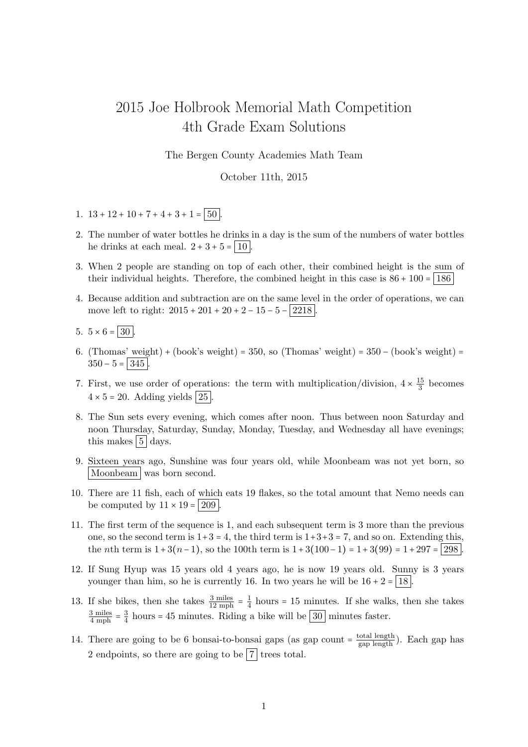## 2015 Joe Holbrook Memorial Math Competition 4th Grade Exam Solutions

The Bergen County Academies Math Team

## October 11th, 2015

- 1.  $13 + 12 + 10 + 7 + 4 + 3 + 1 = 50$
- 2. The number of water bottles he drinks in a day is the sum of the numbers of water bottles he drinks at each meal.  $2 + 3 + 5 = \boxed{10}$ .
- 3. When 2 people are standing on top of each other, their combined height is the sum of their individual heights. Therefore, the combined height in this case is  $86 + 100 = 186$
- 4. Because addition and subtraction are on the same level in the order of operations, we can move left to right:  $2015 + 201 + 20 + 2 - 15 - 5 - 2218$ .

5. 
$$
5 \times 6 = 30
$$
.

- 6. (Thomas' weight) + (book's weight) = 350, so (Thomas' weight) =  $350 -$  (book's weight) =  $350 - 5 = 345$
- 7. First, we use order of operations: the term with multiplication/division,  $4 \times \frac{15}{3}$  $\frac{15}{3}$  becomes  $4 \times 5 = 20$ . Adding yields 25
- 8. The Sun sets every evening, which comes after noon. Thus between noon Saturday and noon Thursday, Saturday, Sunday, Monday, Tuesday, and Wednesday all have evenings; this makes  $\boxed{5}$  days.
- 9. Sixteen years ago, Sunshine was four years old, while Moonbeam was not yet born, so Moonbeam was born second.
- 10. There are 11 fish, each of which eats 19 flakes, so the total amount that Nemo needs can be computed by  $11 \times 19 = |209|$ .
- 11. The first term of the sequence is 1, and each subsequent term is 3 more than the previous one, so the second term is  $1+3=4$ , the third term is  $1+3+3=7$ , and so on. Extending this, the *n*th term is  $1+3(n-1)$ , so the 100th term is  $1+3(100-1) = 1+3(99) = 1+297 = 298$ .
- 12. If Sung Hyup was 15 years old 4 years ago, he is now 19 years old. Sunny is 3 years younger than him, so he is currently 16. In two years he will be  $16 + 2 = 18$ .
- 13. If she bikes, then she takes  $\frac{3 \text{ miles}}{12 \text{ mph}} = \frac{1}{4}$  $\frac{1}{4}$  hours = 15 minutes. If she walks, then she takes  $rac{3 \text{ miles}}{4 \text{ mph}} = \frac{3}{4}$  $\frac{3}{4}$  hours = 45 minutes. Riding a bike will be  $\boxed{30}$  minutes faster.
- 14. There are going to be 6 bonsai-to-bonsai gaps (as gap count  $=\frac{\text{total length}}{\text{gap length}}$ ). Each gap has 2 endpoints, so there are going to be  $\boxed{7}$  trees total.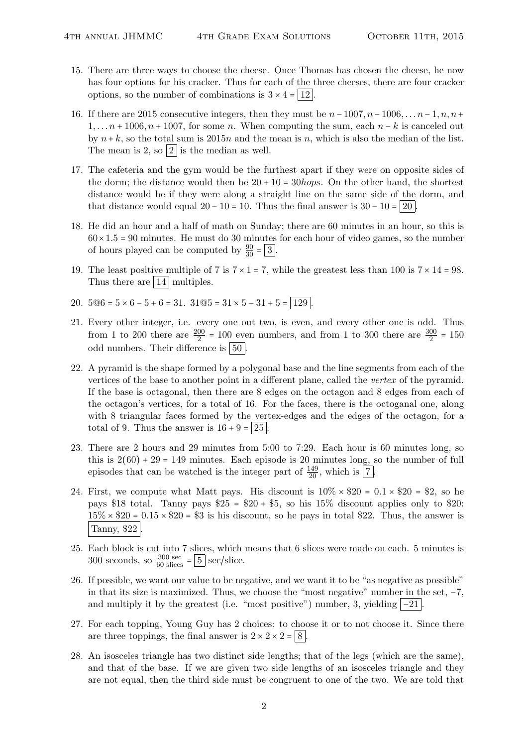- 15. There are three ways to choose the cheese. Once Thomas has chosen the cheese, he now has four options for his cracker. Thus for each of the three cheeses, there are four cracker options, so the number of combinations is  $3 \times 4 = 12$ .
- 16. If there are 2015 consecutive integers, then they must be  $n 1007, n 1006, \ldots, n 1, n, n + 1$  $1, \ldots n + 1006, n + 1007$ , for some n. When computing the sum, each  $n - k$  is canceled out by  $n+k$ , so the total sum is 2015n and the mean is n, which is also the median of the list. The mean is 2, so  $|2|$  is the median as well.
- 17. The cafeteria and the gym would be the furthest apart if they were on opposite sides of the dorm; the distance would then be  $20 + 10 = 30hops$ . On the other hand, the shortest distance would be if they were along a straight line on the same side of the dorm, and that distance would equal  $20 - 10 = 10$ . Thus the final answer is  $30 - 10 = 20$ .
- 18. He did an hour and a half of math on Sunday; there are 60 minutes in an hour, so this is  $60 \times 1.5 = 90$  minutes. He must do 30 minutes for each hour of video games, so the number of hours played can be computed by  $\frac{90}{30} = \boxed{3}$ .
- 19. The least positive multiple of 7 is  $7 \times 1 = 7$ , while the greatest less than 100 is  $7 \times 14 = 98$ . Thus there are  $|14|$  multiples.
- 20.  $5@6 = 5 \times 6 5 + 6 = 31.$   $31@5 = 31 \times 5 31 + 5 = 129$
- 21. Every other integer, i.e. every one out two, is even, and every other one is odd. Thus from 1 to 200 there are  $\frac{200}{2} = 100$  even numbers, and from 1 to 300 there are  $\frac{300}{2} = 150$ odd numbers. Their difference is  $|50|$ .
- 22. A pyramid is the shape formed by a polygonal base and the line segments from each of the vertices of the base to another point in a different plane, called the vertex of the pyramid. If the base is octagonal, then there are 8 edges on the octagon and 8 edges from each of the octagon's vertices, for a total of 16. For the faces, there is the octoganal one, along with 8 triangular faces formed by the vertex-edges and the edges of the octagon, for a total of 9. Thus the answer is  $16 + 9 = 25$ .
- 23. There are 2 hours and 29 minutes from 5:00 to 7:29. Each hour is 60 minutes long, so this is  $2(60) + 29 = 149$  minutes. Each episode is 20 minutes long, so the number of full episodes that can be watched is the integer part of  $\frac{149}{20}$ , which is  $\boxed{7}$ .
- 24. First, we compute what Matt pays. His discount is  $10\% \times $20 = 0.1 \times $20 = $2$ , so he pays \$18 total. Tanny pays  $$25 = $20 + $5$ , so his 15% discount applies only to \$20:  $15\% \times $20 = 0.15 \times $20 = $3$  is his discount, so he pays in total \$22. Thus, the answer is Tanny, \$22
- 25. Each block is cut into 7 slices, which means that 6 slices were made on each. 5 minutes is 300 seconds, so  $\frac{300 \text{ sec}}{60 \text{ slices}} = \boxed{5}$  sec/slice.
- 26. If possible, we want our value to be negative, and we want it to be "as negative as possible" in that its size is maximized. Thus, we choose the "most negative" number in the set, −7, and multiply it by the greatest (i.e. "most positive") number, 3, yielding  $\vert -21 \vert$ .
- 27. For each topping, Young Guy has 2 choices: to choose it or to not choose it. Since there are three toppings, the final answer is  $2 \times 2 \times 2 = 8$ .
- 28. An isosceles triangle has two distinct side lengths; that of the legs (which are the same), and that of the base. If we are given two side lengths of an isosceles triangle and they are not equal, then the third side must be congruent to one of the two. We are told that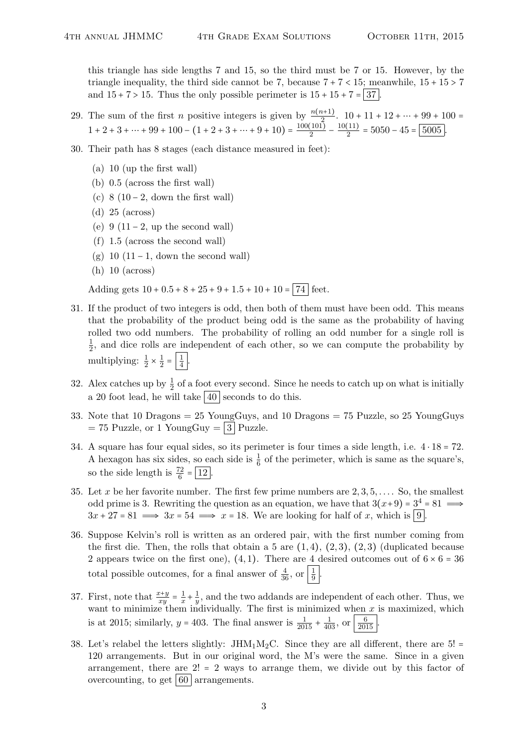this triangle has side lengths 7 and 15, so the third must be 7 or 15. However, by the triangle inequality, the third side cannot be 7, because  $7 + 7 < 15$ ; meanwhile,  $15 + 15 > 7$ and  $15 + 7 > 15$ . Thus the only possible perimeter is  $15 + 15 + 7 = |37|$ .

- 29. The sum of the first *n* positive integers is given by  $\frac{n(n+1)}{2}$ .  $10 + 11 + 12 + \dots + 99 + 100 =$  $1 + 2 + 3 + \dots + 99 + 100 - (1 + 2 + 3 + \dots + 9 + 10) = \frac{100(101)}{2}$  $\frac{(101)}{2} - \frac{10(11)}{2}$  $\frac{(11)}{2}$  = 5050 – 45 =  $\boxed{5005}$ .
- 30. Their path has 8 stages (each distance measured in feet):
	- (a) 10 (up the first wall)
	- (b) 0.5 (across the first wall)
	- (c) 8  $(10-2,$  down the first wall)
	- (d) 25 (across)
	- (e) 9 (11 2, up the second wall)
	- (f) 1.5 (across the second wall)
	- (g) 10  $(11 1$ , down the second wall)
	- (h) 10 (across)

Adding gets  $10 + 0.5 + 8 + 25 + 9 + 1.5 + 10 + 10 = 74$  feet.

- 31. If the product of two integers is odd, then both of them must have been odd. This means that the probability of the product being odd is the same as the probability of having rolled two odd numbers. The probability of rolling an odd number for a single roll is 1  $\frac{1}{2}$ , and dice rolls are independent of each other, so we can compute the probability by multiplying:  $\frac{1}{2} \times \frac{1}{2}$  $\frac{1}{2} = \frac{1}{4}$  $\frac{1}{4}$ .
- 32. Alex catches up by  $\frac{1}{2}$  of a foot every second. Since he needs to catch up on what is initially a 20 foot lead, he will take  $\boxed{40}$  seconds to do this.
- 33. Note that 10 Dragons = 25 YoungGuys, and 10 Dragons = 75 Puzzle, so 25 YoungGuys  $= 75$  Puzzle, or 1 YoungGuy  $= |3|$  Puzzle.
- 34. A square has four equal sides, so its perimeter is four times a side length, i.e.  $4 \cdot 18 = 72$ . A hexagon has six sides, so each side is  $\frac{1}{6}$  of the perimeter, which is same as the square's, so the side length is  $\frac{72}{6} = \boxed{12}$ .
- 35. Let x be her favorite number. The first few prime numbers are  $2, 3, 5, \ldots$ . So, the smallest odd prime is 3. Rewriting the question as an equation, we have that  $3(x+9) = 3^4 = 81 \implies$  $3x + 27 = 81 \implies 3x = 54 \implies x = 18.$  We are looking for half of x, which is 9
- 36. Suppose Kelvin's roll is written as an ordered pair, with the first number coming from the first die. Then, the rolls that obtain a 5 are  $(1,4)$ ,  $(2,3)$ ,  $(2,3)$  (duplicated because 2 appears twice on the first one), (4, 1). There are 4 desired outcomes out of  $6 \times 6 = 36$ total possible outcomes, for a final answer of  $\frac{4}{36}$ , or  $\frac{1}{9}$ .
- 37. First, note that  $\frac{x+y}{xy} = \frac{1}{x}$  $\frac{1}{x} + \frac{1}{y}$  $\frac{1}{y}$ , and the two addands are independent of each other. Thus, we want to minimize them individually. The first is minimized when  $x$  is maximized, which is at 2015; similarly,  $y = 403$ . The final answer is  $\frac{1}{2015} + \frac{1}{403}$ , or  $\frac{6}{2015}$ .
- 38. Let's relabel the letters slightly:  $JHM_1M_2C$ . Since they are all different, there are 5! = 120 arrangements. But in our original word, the M's were the same. Since in a given arrangement, there are  $2! = 2$  ways to arrange them, we divide out by this factor of overcounting, to get  $60$  arrangements.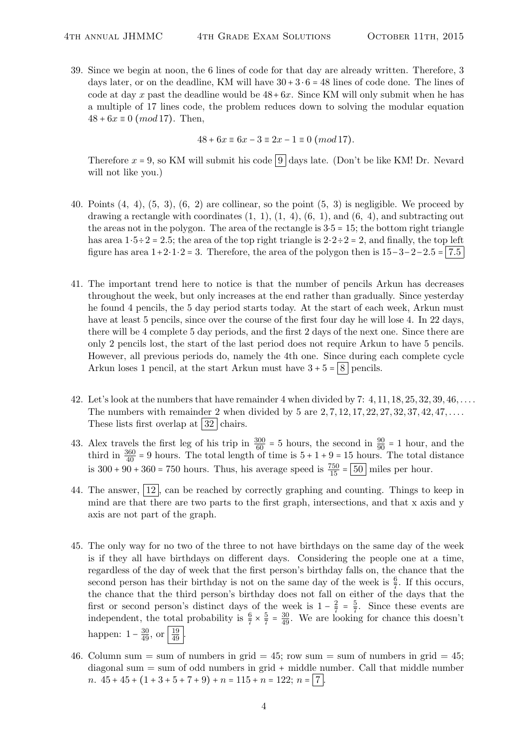39. Since we begin at noon, the 6 lines of code for that day are already written. Therefore, 3 days later, or on the deadline, KM will have  $30 + 3 \cdot 6 = 48$  lines of code done. The lines of code at day x past the deadline would be  $48+6x$ . Since KM will only submit when he has a multiple of 17 lines code, the problem reduces down to solving the modular equation  $48 + 6x \equiv 0 \ (mod 17)$ . Then,

$$
48 + 6x \equiv 6x - 3 \equiv 2x - 1 \equiv 0 \ (mod 17).
$$

Therefore  $x = 9$ , so KM will submit his code  $\boxed{9}$  days late. (Don't be like KM! Dr. Nevard will not like you.)

- 40. Points  $(4, 4)$ ,  $(5, 3)$ ,  $(6, 2)$  are collinear, so the point  $(5, 3)$  is negligible. We proceed by drawing a rectangle with coordinates  $(1, 1), (1, 4), (6, 1),$  and  $(6, 4)$ , and subtracting out the areas not in the polygon. The area of the rectangle is  $3·5 = 15$ ; the bottom right triangle has area  $1 \cdot 5 \div 2 = 2.5$ ; the area of the top right triangle is  $2 \cdot 2 \div 2 = 2$ , and finally, the top left figure has area  $1+2 \cdot 1 \cdot 2 = 3$ . Therefore, the area of the polygon then is  $15-3-2-2.5 = |7.5|$
- 41. The important trend here to notice is that the number of pencils Arkun has decreases throughout the week, but only increases at the end rather than gradually. Since yesterday he found 4 pencils, the 5 day period starts today. At the start of each week, Arkun must have at least 5 pencils, since over the course of the first four day he will lose 4. In 22 days, there will be 4 complete 5 day periods, and the first 2 days of the next one. Since there are only 2 pencils lost, the start of the last period does not require Arkun to have 5 pencils. However, all previous periods do, namely the 4th one. Since during each complete cycle Arkun loses 1 pencil, at the start Arkun must have  $3 + 5 = 8$  pencils.
- 42. Let's look at the numbers that have remainder 4 when divided by  $7: 4, 11, 18, 25, 32, 39, 46, \ldots$ The numbers with remainder 2 when divided by 5 are  $2, 7, 12, 17, 22, 27, 32, 37, 42, 47, \ldots$ These lists first overlap at  $32$  chairs.
- 43. Alex travels the first leg of his trip in  $\frac{300}{60} = 5$  hours, the second in  $\frac{90}{90} = 1$  hour, and the third in  $\frac{360}{40}$  = 9 hours. The total length of time is  $5 + 1 + 9 = 15$  hours. The total distance is  $300 + 90 + 360 = 750$  hours. Thus, his average speed is  $\frac{750}{15} = 50$  miles per hour.
- 44. The answer,  $\boxed{12}$ , can be reached by correctly graphing and counting. Things to keep in mind are that there are two parts to the first graph, intersections, and that x axis and y axis are not part of the graph.
- 45. The only way for no two of the three to not have birthdays on the same day of the week is if they all have birthdays on different days. Considering the people one at a time, regardless of the day of week that the first person's birthday falls on, the chance that the second person has their birthday is not on the same day of the week is  $\frac{6}{7}$ . If this occurs, the chance that the third person's birthday does not fall on either of the days that the first or second person's distinct days of the week is  $1-\frac{2}{7}$  $\frac{2}{7} = \frac{5}{7}$  $\frac{5}{7}$ . Since these events are independent, the total probability is  $\frac{6}{7} \times \frac{5}{7}$  $\frac{5}{7} = \frac{30}{49}$ . We are looking for chance this doesn't happen:  $1 - \frac{30}{49}$ , or  $\frac{19}{49}$ .
- 46. Column sum = sum of numbers in grid = 45; row sum = sum of numbers in grid = 45; diagonal sum = sum of odd numbers in grid + middle number. Call that middle number n.  $45 + 45 + (1 + 3 + 5 + 7 + 9) + n = 115 + n = 122$ ;  $n = |7|$